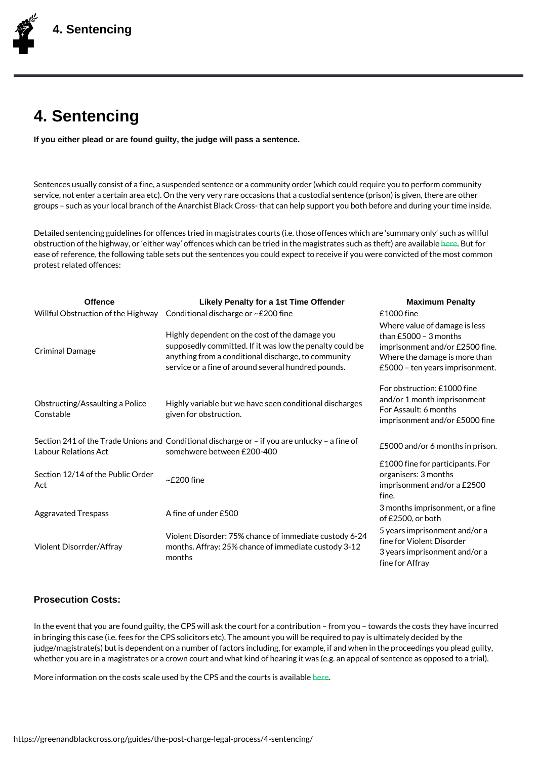## 4. Sentencing

If you either plead or are found guilty, the judge will pass a sentence.

Sentences usually consist of a fine, a suspended sentence or a community order (which c service, not enter a certain area etc). On the very very rare occasions that a custodial s groups such as your local branch of the Anarchist Black Cross- that can help support you

Detailed sentencing guidelines for offences tried in magistrates courts (i.e. those offenc obstruction of the highway, or either way offences which can be tried in et Bhoet magistrates ease of reference, the following table sets out the sentences you could expect to receive protest related offences:

| Offence                                                                      | Likely Penalty for a 1st Time Offender                                                                                                                                                                                                                                                   | <b>Maximum Penalty</b>                                                                         |
|------------------------------------------------------------------------------|------------------------------------------------------------------------------------------------------------------------------------------------------------------------------------------------------------------------------------------------------------------------------------------|------------------------------------------------------------------------------------------------|
|                                                                              | Willful Obstruction of the endigitown av discharge or $\sim$ £200 fine £1000 fine                                                                                                                                                                                                        |                                                                                                |
| Criminal Damage                                                              | Highly dependent on the cost of the damper you<br>supposedly committed. If it was low threppiesing himble nsput hdd boer £2500 fin<br>anything from a conditional dischargety here oth en whaimy age is more that<br>service or a fine of around several hocosod poeuno dears imprisonme | Where value of damage is les<br>3 months                                                       |
| Constable                                                                    | Obstructing/Assaulting HaigHd yieveriable but we have seen conditional discharges isonment<br>Constable qiven for obstruction For Assault: 6 months<br>given for obstruction.                                                                                                            | For obstruction: £1000 fine<br>imprisonment and/or £5000 fir                                   |
|                                                                              | Section 241 of the Tradcord ditions ad notischarge or if you are unlucky a fine of the in prist<br>Labour Relations Act somehwere between £200-400                                                                                                                                       |                                                                                                |
| Section 12/14 of the $\frac{p_{\text{u}}}{r_{\text{u}}^{1/2}}$ Of the<br>Act |                                                                                                                                                                                                                                                                                          | £1000 fine for participants. F<br>organisers: 3 months<br>imprisonment and/or a £2500<br>fine. |
| Aggravated Trespass A fine of under £500                                     |                                                                                                                                                                                                                                                                                          | 3 months imprisonment, or a f<br>of £2500, or both                                             |
|                                                                              | Violent Disorder: 75% chance of immediate custody to<br>Violent Disorder: 75% chance of immediate custody to<br>Violent Disorrder/Afframonths. Affray: 25% chance of immediate custody to Disorder<br>Pears imprisonment and/or a meath<br>$m$ on the s                                  | fine for Affrav                                                                                |

## Prosecution Costs:

In the event that you are found guilty, the CPS will ask the court for a contribution from in bringing this case (i.e. fees for the CPS solicitors etc). The amount you will be requir judge/magistrate(s) but is dependent on a number of factors including, for example, if an whether you are in a magistrates or a crown court and what kind of hearing it was (e.g. a

More information on the costs scale used by the  $\triangle P.S$  and the courts is available